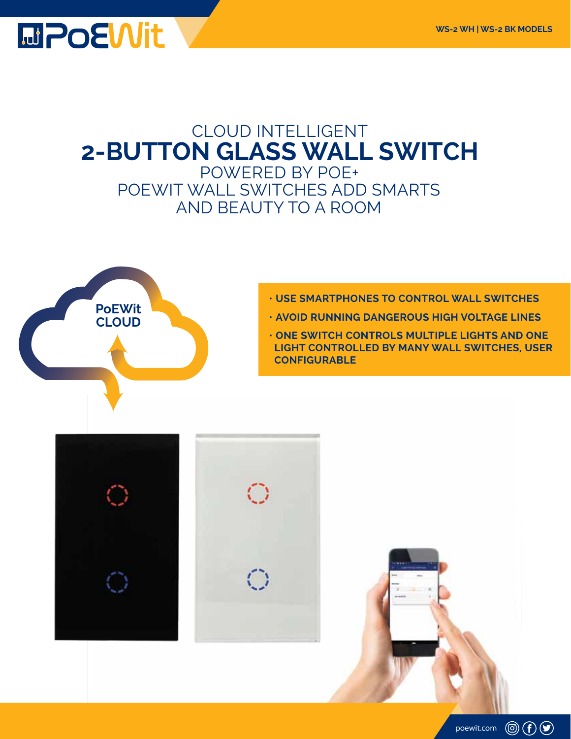## **MPOEWit**

### CLOUD INTELLIGENT **2-BUTTON GLASS WALL SWITCH**  POWERED BY POE+

POEWIT WALL SWITCHES ADD SMARTS AND BEAUTY TO A ROOM



- **USE SMARTPHONES TO CONTROL WALL SWITCHES**
- **AVOID RUNNING DANGEROUS HIGH VOLTAGE LINES**
- **ONE SWITCH CONTROLS MULTIPLE LIGHTS AND ONE LIGHT CONTROLLED BY MANY WALL SWITCHES, USER CONFIGURABLE**

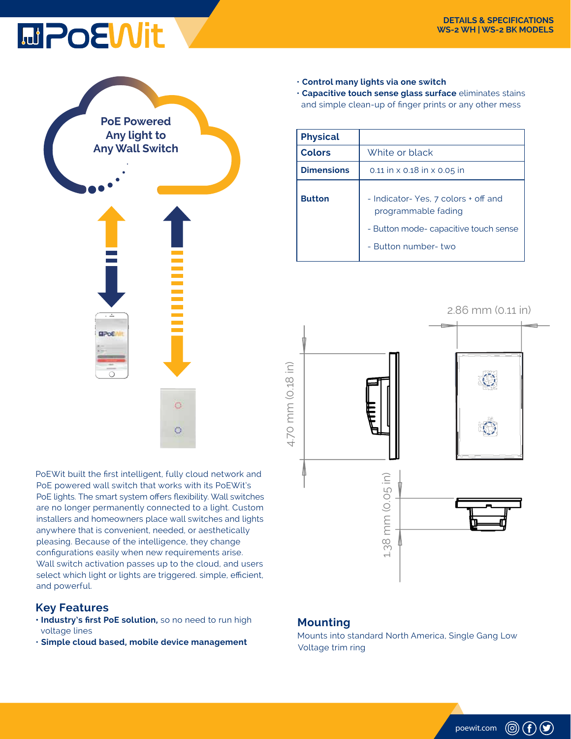# **MPOEWit**



PoEWit built the first intelligent, fully cloud network and PoE powered wall switch that works with its PoEWit's PoE lights. The smart system offers flexibility. Wall switches are no longer permanently connected to a light. Custom installers and homeowners place wall switches and lights anywhere that is convenient, needed, or aesthetically pleasing. Because of the intelligence, they change configurations easily when new requirements arise. Wall switch activation passes up to the cloud, and users select which light or lights are triggered. simple, efficient, and powerful.

#### **Key Features**

- **Industry's first PoE solution,** so no need to run high voltage lines
- **Simple cloud based, mobile device management**

• **Control many lights via one switch**  • **Capacitive touch sense glass surface** eliminates stains and simple clean-up of finger prints or any other mess

| <b>Physical</b>   |                                                                                                                            |
|-------------------|----------------------------------------------------------------------------------------------------------------------------|
| <b>Colors</b>     | White or black                                                                                                             |
| <b>Dimensions</b> | 0.11 in $\times$ 0.18 in $\times$ 0.05 in                                                                                  |
| <b>Button</b>     | - Indicator-Yes, 7 colors + off and<br>programmable fading<br>- Button mode- capacitive touch sense<br>- Button number-two |



#### **Mounting**

Mounts into standard North America, Single Gang Low Voltage trim ring

poewit.com

 $\circledcirc$  (f)  $\circledcirc$